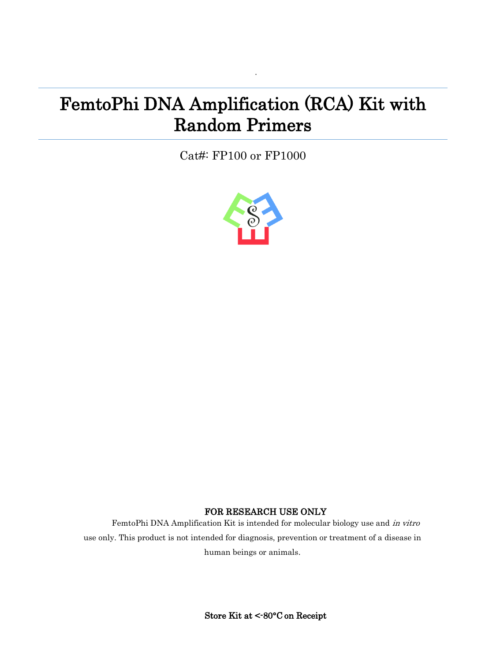# FemtoPhi DNA Amplification (RCA) Kit with Random Primers

·

Cat#: FP100 or FP1000



## FOR RESEARCH USE ONLY

FemtoPhi DNA Amplification Kit is intended for molecular biology use and in vitro use only. This product is not intended for diagnosis, prevention or treatment of a disease in human beings or animals.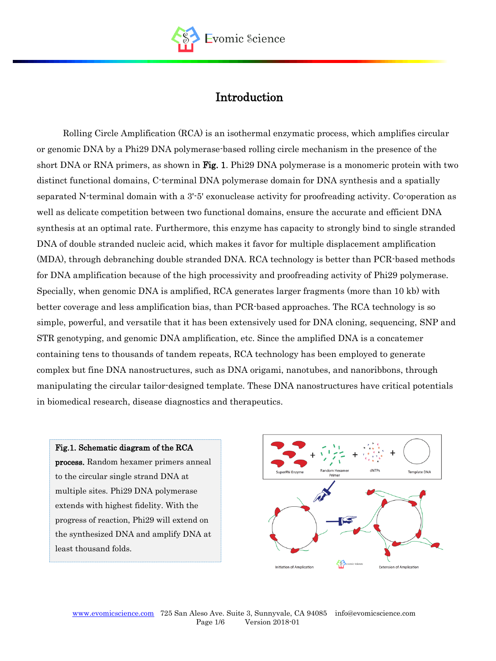

## Introduction

Rolling Circle Amplification (RCA) is an isothermal enzymatic process, which amplifies circular or genomic DNA by a Phi29 DNA polymerase-based rolling circle mechanism in the presence of the short DNA or RNA primers, as shown in Fig. 1. Phi29 DNA polymerase is a monomeric protein with two distinct functional domains, C-terminal DNA polymerase domain for DNA synthesis and a spatially separated N-terminal domain with a 3'-5' [exonuclease](https://en.wikipedia.org/wiki/Exonuclease) activity for proofreading activity. Co-operation as well as delicate competition between two functional domains, ensure the accurate and efficient DNA synthesis at an optimal rate. Furthermore, this enzyme has capacity to strongly bind to single stranded DNA of double stranded nucleic acid, which makes it favor for [multiple displacement amplification](https://en.wikipedia.org/wiki/Multiple_Displacement_Amplification) (MDA), through debranching double stranded DNA. RCA technology is better than PCR-based methods for DNA amplification because of the high processivity and proofreading activity of Phi29 polymerase. Specially, when genomic DNA is amplified, RCA generates larger fragments (more than 10 kb) with better coverage and less amplification bias, than PCR-based approaches. The RCA technology is so simple, powerful, and versatile that it has been extensively used for DNA cloning, sequencing, SNP and STR genotyping, and genomic DNA amplification, etc. Since the amplified DNA is a concatemer containing tens to thousands of tandem repeats, RCA technology has been employed to generate complex but fine DNA nanostructures, such as DNA origami, nanotubes, and nanoribbons, through manipulating the circular tailor-designed template. These DNA nanostructures have critical potentials in biomedical research, disease diagnostics and therapeutics.

#### Fig.1. Schematic diagram of the RCA

process. Random hexamer primers anneal to the circular single strand DNA at multiple sites. Phi29 DNA polymerase extends with highest fidelity. With the progress of reaction, Phi29 will extend on the synthesized DNA and amplify DNA at least thousand folds.

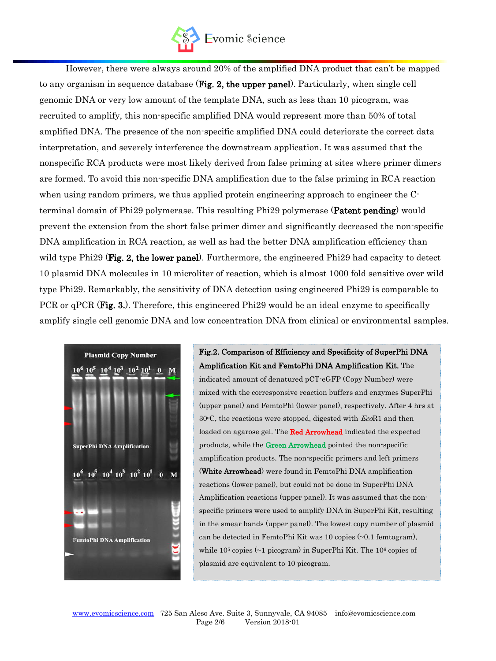

However, there were always around 20% of the amplified DNA product that can't be mapped to any organism in sequence database (Fig. 2, the upper panel). Particularly, when single cell genomic DNA or very low amount of the template DNA, such as less than 10 picogram, was recruited to amplify, this non-specific amplified DNA would represent more than 50% of total amplified DNA. The presence of the non-specific amplified DNA could deteriorate the correct data interpretation, and severely interference the downstream application. It was assumed that the nonspecific RCA products were most likely derived from false priming at sites where primer dimers are formed. To avoid this non-specific DNA amplification due to the false priming in RCA reaction when using random primers, we thus applied protein engineering approach to engineer the Cterminal domain of Phi29 polymerase. This resulting Phi29 polymerase (Patent pending) would prevent the extension from the short false primer dimer and significantly decreased the non-specific DNA amplification in RCA reaction, as well as had the better DNA amplification efficiency than wild type Phi29 (Fig. 2, the lower panel). Furthermore, the engineered Phi29 had capacity to detect 10 plasmid DNA molecules in 10 microliter of reaction, which is almost 1000 fold sensitive over wild type Phi29. Remarkably, the sensitivity of DNA detection using engineered Phi29 is comparable to PCR or qPCR (Fig. 3.). Therefore, this engineered Phi29 would be an ideal enzyme to specifically amplify single cell genomic DNA and low concentration DNA from clinical or environmental samples.



Fig.2. Comparison of Efficiency and Specificity of SuperPhi DNA Amplification Kit and FemtoPhi DNA Amplification Kit. The indicated amount of denatured pCT-eGFP (Copy Number) were mixed with the corresponsive reaction buffers and enzymes SuperPhi (upper panel) and FemtoPhi (lower panel), respectively. After 4 hrs at  $30^{\circ}$ C, the reactions were stopped, digested with  $EcoR1$  and then loaded on agarose gel. The Red Arrowhead indicated the expected products, while the Green Arrowhead pointed the non-specific amplification products. The non-specific primers and left primers (White Arrowhead) were found in FemtoPhi DNA amplification reactions (lower panel), but could not be done in SuperPhi DNA Amplification reactions (upper panel). It was assumed that the nonspecific primers were used to amplify DNA in SuperPhi Kit, resulting in the smear bands (upper panel). The lowest copy number of plasmid can be detected in FemtoPhi Kit was 10 copies (~0.1 femtogram), while  $10<sup>5</sup>$  copies ( $\sim$ 1 picogram) in SuperPhi Kit. The  $10<sup>6</sup>$  copies of plasmid are equivalent to 10 picogram.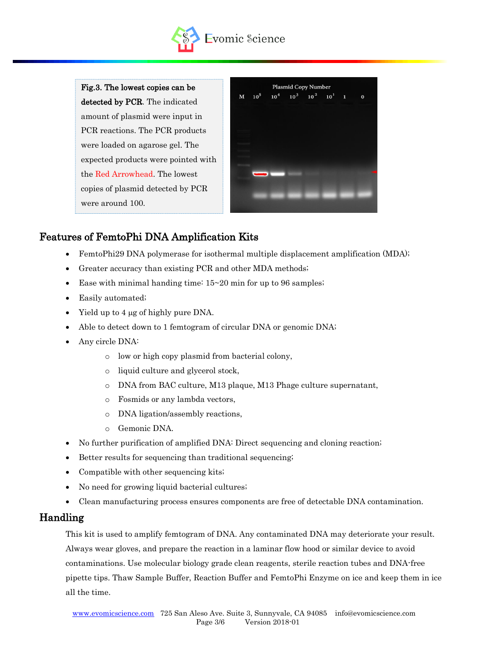

Fig.3. The lowest copies can be detected by PCR. The indicated amount of plasmid were input in PCR reactions. The PCR products were loaded on agarose gel. The expected products were pointed with the Red Arrowhead. The lowest copies of plasmid detected by PCR were around 100.

|            |  | <b>Plasmid Copy Number</b>    |  |          |
|------------|--|-------------------------------|--|----------|
| $M = 10^5$ |  | $10^4$ $10^3$ $10^2$ $10^1$ 1 |  | $\bf{0}$ |
|            |  |                               |  |          |
|            |  |                               |  |          |
|            |  |                               |  |          |
|            |  |                               |  |          |
|            |  |                               |  |          |
|            |  |                               |  |          |
|            |  |                               |  |          |
|            |  |                               |  |          |

## Features of FemtoPhi DNA Amplification Kits

- FemtoPhi29 DNA polymerase for isothermal multiple displacement amplification (MDA);
- Greater accuracy than existing PCR and other MDA methods;
- Ease with minimal handing time:  $15~20$  min for up to 96 samples;
- Easily automated;
- Yield up to 4  $\mu$ g of highly pure DNA.
- Able to detect down to 1 femtogram of circular DNA or genomic DNA;
- Any circle DNA:
	- o low or high copy plasmid from bacterial colony,
	- o liquid culture and glycerol stock,
	- o DNA from BAC culture, M13 plaque, M13 Phage culture supernatant,
	- o Fosmids or any lambda vectors,
	- o DNA ligation/assembly reactions,
	- o Gemonic DNA.
- No further purification of amplified DNA: Direct sequencing and cloning reaction;
- Better results for sequencing than traditional sequencing;
- Compatible with other sequencing kits;
- No need for growing liquid bacterial cultures;
- Clean manufacturing process ensures components are free of detectable DNA contamination.

#### Handling

This kit is used to amplify femtogram of DNA. Any contaminated DNA may deteriorate your result. Always wear gloves, and prepare the reaction in a laminar flow hood or similar device to avoid contaminations. Use molecular biology grade clean reagents, sterile reaction tubes and DNA-free pipette tips. Thaw Sample Buffer, Reaction Buffer and FemtoPhi Enzyme on ice and keep them in ice all the time.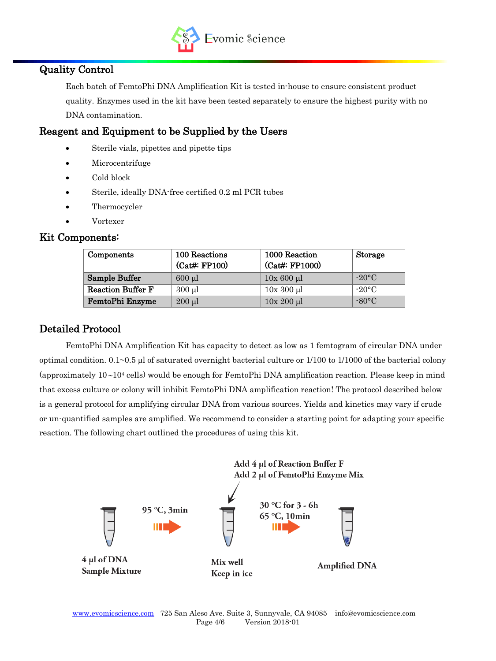

## Quality Control

Each batch of FemtoPhi DNA Amplification Kit is tested in-house to ensure consistent product quality. Enzymes used in the kit have been tested separately to ensure the highest purity with no DNA contamination.

## Reagent and Equipment to be Supplied by the Users

- Sterile vials, pipettes and pipette tips
- Microcentrifuge
- Cold block
- Sterile, ideally DNA-free certified 0.2 ml PCR tubes
- Thermocycler
- Vortexer

#### Kit Components:

| Components               | 100 Reactions<br>(Cat#: FP100) | 1000 Reaction<br>(Cat#: FP1000) | <b>Storage</b>  |
|--------------------------|--------------------------------|---------------------------------|-----------------|
| Sample Buffer            | $600$ $\mu$                    | $10x\ 600\ \mu l$               | $-20$ °C'       |
| <b>Reaction Buffer F</b> | $300 \mu l$                    | $10x300 \mu l$                  | $-20\degree C$  |
| FemtoPhi Enzyme          | $200 \mu l$                    | $10x 200 \mu l$                 | $-80^{\circ}$ C |

## Detailed Protocol

FemtoPhi DNA Amplification Kit has capacity to detect as low as 1 femtogram of circular DNA under optimal condition.  $0.1~0.5~\mu$  of saturated overnight bacterial culture or  $1/100~\text{to}~1/1000~\text{of}$  the bacterial colony (approximately  $10-10^4$  cells) would be enough for FemtoPhi DNA amplification reaction. Please keep in mind that excess culture or colony will inhibit FemtoPhi DNA amplification reaction! The protocol described below is a general protocol for amplifying circular DNA from various sources. Yields and kinetics may vary if crude or un-quantified samples are amplified. We recommend to consider a starting point for adapting your specific reaction. The following chart outlined the procedures of using this kit.

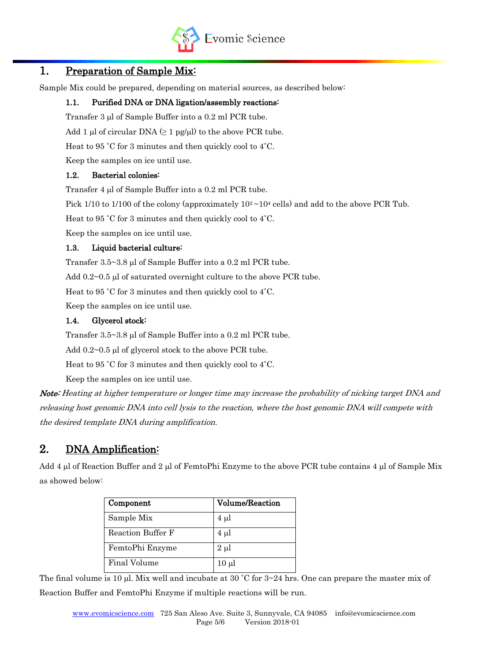

## 1. Preparation of Sample Mix:

Sample Mix could be prepared, depending on material sources, as described below:

#### 1.1. Purified DNA or DNA ligation/assembly reactions:

Transfer 3 ul of Sample Buffer into a 0.2 ml PCR tube.

Add 1 µl of circular DNA  $(≥ 1$  pg/µl) to the above PCR tube.

Heat to 95 ˚C for 3 minutes and then quickly cool to 4˚C.

Keep the samples on ice until use.

#### 1.2. Bacterial colonies:

Transfer 4 ul of Sample Buffer into a 0.2 ml PCR tube.

Pick 1/10 to 1/100 of the colony (approximately  $10^2 \sim 10^4$  cells) and add to the above PCR Tub.

Heat to 95 ˚C for 3 minutes and then quickly cool to 4˚C.

Keep the samples on ice until use.

#### 1.3. Liquid bacterial culture:

Transfer  $3.5 \sim 3.8$  µl of Sample Buffer into a 0.2 ml PCR tube.

Add  $0.2\negthinspace\sim0.5$  µ of saturated overnight culture to the above PCR tube.

Heat to 95 ˚C for 3 minutes and then quickly cool to 4˚C.

Keep the samples on ice until use.

#### 1.4. Glycerol stock:

Transfer  $3.5 \sim 3.8$  µl of Sample Buffer into a 0.2 ml PCR tube.

Add  $0.2~0.5$  µl of glycerol stock to the above PCR tube.

Heat to 95 ˚C for 3 minutes and then quickly cool to 4˚C.

Keep the samples on ice until use.

Note: Heating at higher temperature or longer time may increase the probability of nicking target DNA and releasing host genomic DNA into cell lysis to the reaction, where the host genomic DNA will compete with the desired template DNA during amplification.

## 2. DNA Amplification:

Add 4 µl of Reaction Buffer and 2 µl of FemtoPhi Enzyme to the above PCR tube contains 4 µl of Sample Mix as showed below:

| Component         | <b>Volume/Reaction</b> |
|-------------------|------------------------|
| Sample Mix        | $4 \mu$                |
| Reaction Buffer F | $4 \mu l$              |
| FemtoPhi Enzyme   | $2 \mu l$              |
| Final Volume      | $10 \mu l$             |

The final volume is 10  $\mu$ l. Mix well and incubate at 30 °C for 3~24 hrs. One can prepare the master mix of Reaction Buffer and FemtoPhi Enzyme if multiple reactions will be run.